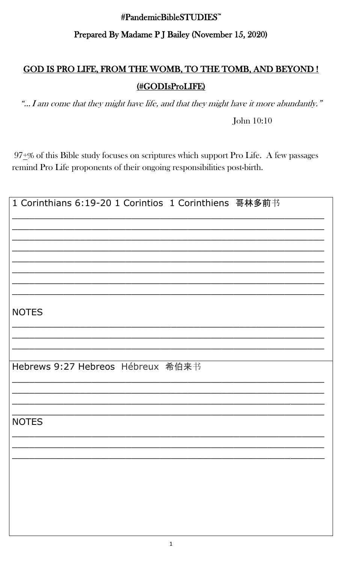## #PandemicBibleSTUDIES<sup>™</sup> Prepared By Madame PJ Bailey (November 15, 2020)

## GOD IS PRO LIFE, FROM THE WOMB, TO THE TOMB, AND BEYOND! (#GODIsProLIFE)

"... I am come that they might have life, and that they might have it more abundantly."

John 10:10

 $97 + \%$  of this Bible study focuses on scriptures which support Pro Life. A few passages remind Pro Life proponents of their ongoing responsibilities post-birth.

| <b>NOTES</b>                      |
|-----------------------------------|
|                                   |
|                                   |
| Hebrews 9:27 Hebreos Hébreux 希伯来书 |
|                                   |
|                                   |
| <b>NOTES</b>                      |
|                                   |
|                                   |
|                                   |
|                                   |
|                                   |
|                                   |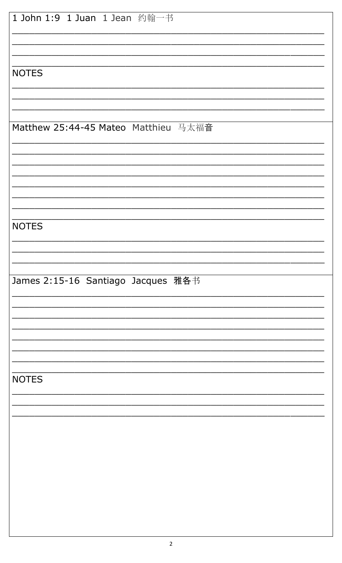| 1 John 1:9 1 Juan 1 Jean 约翰一书        |  |  |  |
|--------------------------------------|--|--|--|
|                                      |  |  |  |
| <b>NOTES</b>                         |  |  |  |
|                                      |  |  |  |
| Matthew 25:44-45 Mateo Matthieu 马太福音 |  |  |  |
|                                      |  |  |  |
|                                      |  |  |  |
| <b>NOTES</b>                         |  |  |  |
|                                      |  |  |  |
| James 2:15-16 Santiago Jacques 雅各书   |  |  |  |
|                                      |  |  |  |
|                                      |  |  |  |
|                                      |  |  |  |
| <b>NOTES</b>                         |  |  |  |
|                                      |  |  |  |
|                                      |  |  |  |
|                                      |  |  |  |
|                                      |  |  |  |
|                                      |  |  |  |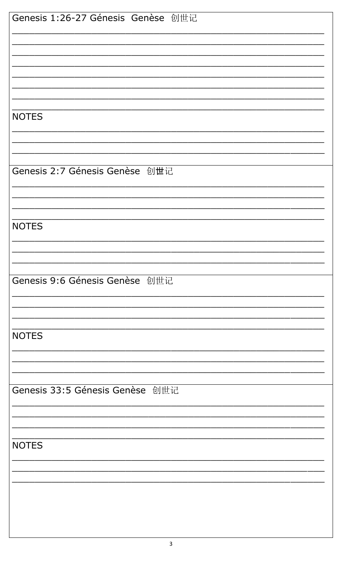| Genesis 1:26-27 Génesis Genèse 创世记 |
|------------------------------------|
|                                    |
|                                    |
|                                    |
|                                    |
| <b>NOTES</b>                       |
|                                    |
|                                    |
| Genesis 2:7 Génesis Genèse 创世记     |
|                                    |
|                                    |
|                                    |
| <b>NOTES</b>                       |
|                                    |
|                                    |
| Genesis 9:6 Génesis Genèse 创世记     |
|                                    |
|                                    |
| <b>NOTES</b>                       |
|                                    |
|                                    |
| Genesis 33:5 Génesis Genèse 创世记    |
|                                    |
|                                    |
| <b>NOTES</b>                       |
|                                    |
|                                    |
|                                    |
|                                    |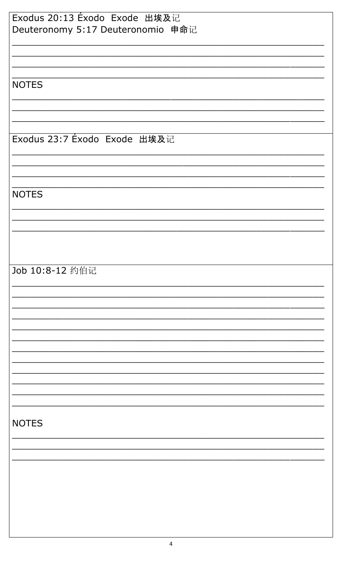| Exodus 20:13 Éxodo Exode 出埃及记     |
|-----------------------------------|
| Deuteronomy 5:17 Deuteronomio 申命记 |
|                                   |
|                                   |
|                                   |
|                                   |
|                                   |
| <b>NOTES</b>                      |
|                                   |
|                                   |
|                                   |
|                                   |
| Exodus 23:7 Exodo Exode 出埃及记      |
|                                   |
|                                   |
|                                   |
|                                   |
|                                   |
| <b>NOTES</b>                      |
|                                   |
|                                   |
|                                   |
|                                   |
|                                   |
|                                   |
| Job 10:8-12 约伯记                   |
|                                   |
|                                   |
|                                   |
|                                   |
|                                   |
|                                   |
|                                   |
|                                   |
|                                   |
|                                   |
|                                   |
|                                   |
|                                   |
|                                   |
|                                   |
|                                   |
| <b>NOTES</b>                      |
|                                   |
|                                   |
|                                   |
|                                   |
|                                   |
|                                   |
|                                   |
|                                   |
|                                   |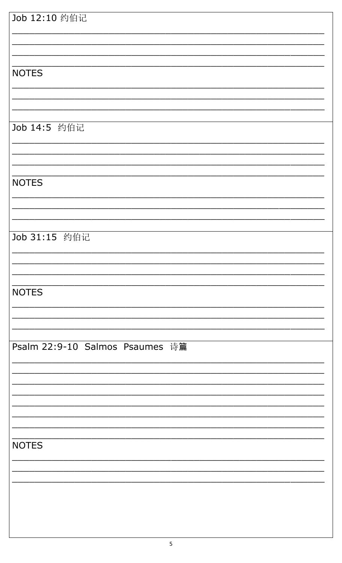| Job 12:10 约伯记                   |  |
|---------------------------------|--|
|                                 |  |
|                                 |  |
|                                 |  |
|                                 |  |
|                                 |  |
|                                 |  |
| <b>NOTES</b>                    |  |
|                                 |  |
|                                 |  |
|                                 |  |
|                                 |  |
|                                 |  |
| Job 14:5 约伯记                    |  |
|                                 |  |
|                                 |  |
|                                 |  |
|                                 |  |
|                                 |  |
| <b>NOTES</b>                    |  |
|                                 |  |
|                                 |  |
|                                 |  |
|                                 |  |
|                                 |  |
|                                 |  |
| Job 31:15 约伯记                   |  |
|                                 |  |
|                                 |  |
|                                 |  |
|                                 |  |
|                                 |  |
| <b>NOTES</b>                    |  |
|                                 |  |
|                                 |  |
|                                 |  |
|                                 |  |
|                                 |  |
|                                 |  |
| Psalm 22:9-10 Salmos Psaumes 诗篇 |  |
|                                 |  |
|                                 |  |
|                                 |  |
|                                 |  |
|                                 |  |
|                                 |  |
|                                 |  |
|                                 |  |
|                                 |  |
|                                 |  |
| <b>NOTES</b>                    |  |
|                                 |  |
|                                 |  |
|                                 |  |
|                                 |  |
|                                 |  |
|                                 |  |
|                                 |  |
|                                 |  |
|                                 |  |
|                                 |  |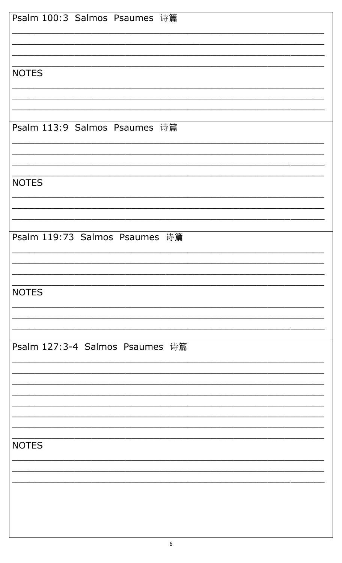| Psalm 100:3 Salmos Psaumes 诗篇   |
|---------------------------------|
|                                 |
|                                 |
|                                 |
|                                 |
| <b>NOTES</b>                    |
|                                 |
|                                 |
|                                 |
|                                 |
| Psalm 113:9 Salmos Psaumes 诗篇   |
|                                 |
|                                 |
|                                 |
|                                 |
| <b>NOTES</b>                    |
|                                 |
|                                 |
|                                 |
|                                 |
| Psalm 119:73 Salmos Psaumes 诗篇  |
|                                 |
|                                 |
|                                 |
|                                 |
| <b>NOTES</b>                    |
|                                 |
|                                 |
|                                 |
|                                 |
| Psalm 127:3-4 Salmos Psaumes 诗篇 |
|                                 |
|                                 |
|                                 |
|                                 |
|                                 |
|                                 |
|                                 |
|                                 |
| <b>NOTES</b>                    |
|                                 |
|                                 |
|                                 |
|                                 |
|                                 |
|                                 |
|                                 |
|                                 |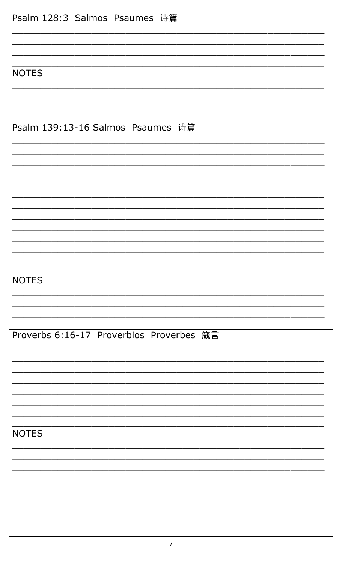| Psalm 128:3 Salmos Psaumes 诗篇            |
|------------------------------------------|
|                                          |
|                                          |
|                                          |
|                                          |
|                                          |
| <b>NOTES</b>                             |
|                                          |
|                                          |
|                                          |
|                                          |
| Psalm 139:13-16 Salmos Psaumes 诗篇        |
|                                          |
|                                          |
|                                          |
|                                          |
|                                          |
|                                          |
|                                          |
|                                          |
|                                          |
|                                          |
|                                          |
|                                          |
|                                          |
|                                          |
|                                          |
|                                          |
| <b>NOTES</b>                             |
|                                          |
|                                          |
|                                          |
|                                          |
| Proverbs 6:16-17 Proverbios Proverbes 箴言 |
|                                          |
|                                          |
|                                          |
|                                          |
|                                          |
|                                          |
|                                          |
|                                          |
|                                          |
|                                          |
| <b>NOTES</b>                             |
|                                          |
|                                          |
|                                          |
|                                          |
|                                          |
|                                          |
|                                          |
|                                          |
|                                          |
|                                          |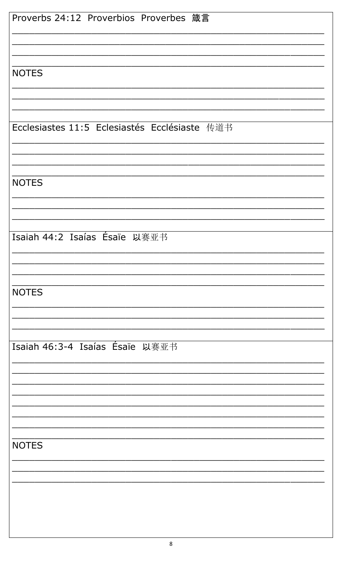| Proverbs 24:12 Proverbios Proverbes 箴言        |  |  |
|-----------------------------------------------|--|--|
|                                               |  |  |
|                                               |  |  |
|                                               |  |  |
| <b>NOTES</b>                                  |  |  |
|                                               |  |  |
|                                               |  |  |
| Ecclesiastes 11:5 Eclesiastés Ecclésiaste 传道书 |  |  |
|                                               |  |  |
|                                               |  |  |
|                                               |  |  |
| <b>NOTES</b>                                  |  |  |
|                                               |  |  |
|                                               |  |  |
| Isaiah 44:2 Isaías Ésaïe 以赛亚书                 |  |  |
|                                               |  |  |
|                                               |  |  |
|                                               |  |  |
| <b>NOTES</b>                                  |  |  |
|                                               |  |  |
|                                               |  |  |
| Isaiah 46:3-4 Isaías Ésaïe 以赛亚书               |  |  |
|                                               |  |  |
|                                               |  |  |
|                                               |  |  |
|                                               |  |  |
|                                               |  |  |
| <b>NOTES</b>                                  |  |  |
|                                               |  |  |
|                                               |  |  |
|                                               |  |  |
|                                               |  |  |
|                                               |  |  |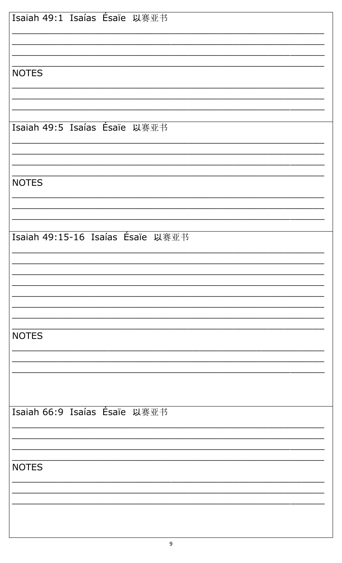| Isaiah 49:1 Isaías Ésaïe 以赛亚书     |
|-----------------------------------|
|                                   |
|                                   |
|                                   |
|                                   |
| <b>NOTES</b>                      |
|                                   |
|                                   |
|                                   |
| Isaiah 49:5 Isaías Ésaïe 以赛亚书     |
|                                   |
|                                   |
|                                   |
| <b>NOTES</b>                      |
|                                   |
|                                   |
|                                   |
| Isaiah 49:15-16 Isaías Ésaïe 以赛亚书 |
|                                   |
|                                   |
|                                   |
|                                   |
|                                   |
|                                   |
|                                   |
| <b>NOTES</b>                      |
|                                   |
|                                   |
|                                   |
|                                   |
|                                   |
| Isaiah 66:9 Isaías Ésaïe 以赛亚书     |
|                                   |
|                                   |
|                                   |
| <b>NOTES</b>                      |
|                                   |
|                                   |
|                                   |
|                                   |
|                                   |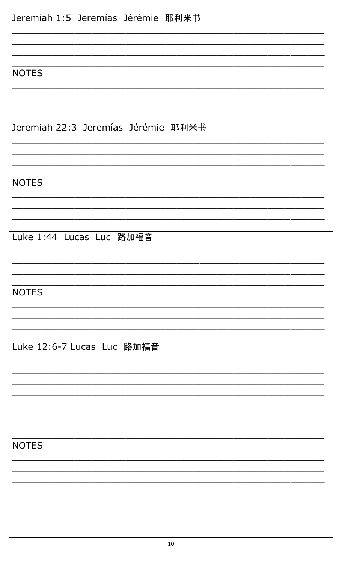| Jeremiah 1:5 Jeremías Jérémie 耶利米书  |  |  |
|-------------------------------------|--|--|
|                                     |  |  |
| <b>NOTES</b>                        |  |  |
|                                     |  |  |
| Jeremiah 22:3 Jeremías Jérémie 耶利米书 |  |  |
|                                     |  |  |
| <b>NOTES</b>                        |  |  |
|                                     |  |  |
| Luke 1:44 Lucas Luc 路加福音            |  |  |
|                                     |  |  |
| <b>NOTES</b>                        |  |  |
|                                     |  |  |
| Luke 12:6-7 Lucas Luc 路加福音          |  |  |
|                                     |  |  |
|                                     |  |  |
|                                     |  |  |
| <b>NOTES</b>                        |  |  |
|                                     |  |  |
|                                     |  |  |
|                                     |  |  |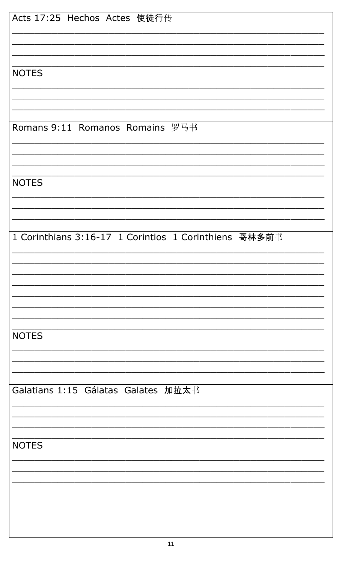| Acts 17:25 Hechos Actes 使徒行传                          |
|-------------------------------------------------------|
|                                                       |
| <b>NOTES</b>                                          |
|                                                       |
| Romans 9:11 Romanos Romains 罗马书                       |
|                                                       |
| <b>NOTES</b>                                          |
|                                                       |
| 1 Corinthians 3:16-17 1 Corintios 1 Corinthiens 哥林多前书 |
|                                                       |
|                                                       |
| <b>NOTES</b>                                          |
|                                                       |
| Galatians 1:15 Gálatas Galates 加拉太书                   |
|                                                       |
| <b>NOTES</b>                                          |
|                                                       |
|                                                       |
|                                                       |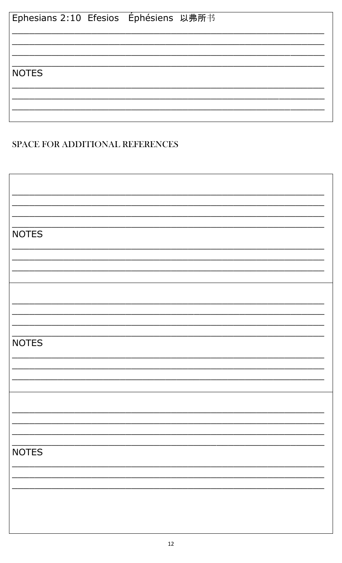| Ephesians 2:10 Efesios Éphésiens 以弗所书 |  |
|---------------------------------------|--|
|                                       |  |
|                                       |  |
| <b>NOTES</b>                          |  |
|                                       |  |
|                                       |  |

## SPACE FOR ADDITIONAL REFERENCES

| <b>NOTES</b> |
|--------------|
|              |
|              |
|              |
|              |
|              |
|              |
|              |
|              |
|              |
|              |
| <b>NOTES</b> |
|              |
|              |
|              |
|              |
|              |
|              |
|              |
|              |
|              |
| <b>NOTES</b> |
|              |
|              |
|              |
|              |
|              |
|              |
|              |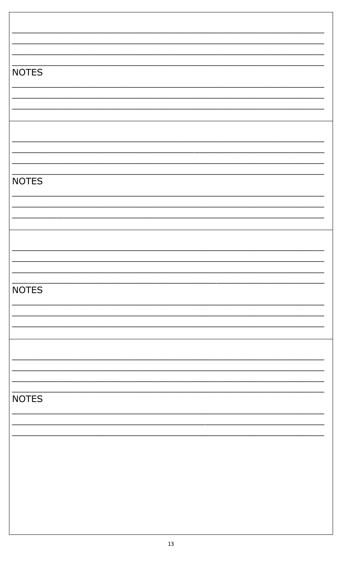| <b>NOTES</b> |  |
|--------------|--|
|              |  |
|              |  |
|              |  |
|              |  |
|              |  |
|              |  |
|              |  |
|              |  |
|              |  |
|              |  |
| <b>NOTES</b> |  |
|              |  |
|              |  |
|              |  |
|              |  |
|              |  |
|              |  |
|              |  |
|              |  |
|              |  |
| <b>NOTES</b> |  |
|              |  |
|              |  |
|              |  |
|              |  |
|              |  |
|              |  |
|              |  |
|              |  |
|              |  |
|              |  |
| <b>NOTES</b> |  |
|              |  |
|              |  |
|              |  |
|              |  |
|              |  |
|              |  |
|              |  |
|              |  |
|              |  |
|              |  |

 $\overline{\phantom{a}}$ 

 $\overline{\phantom{a}}$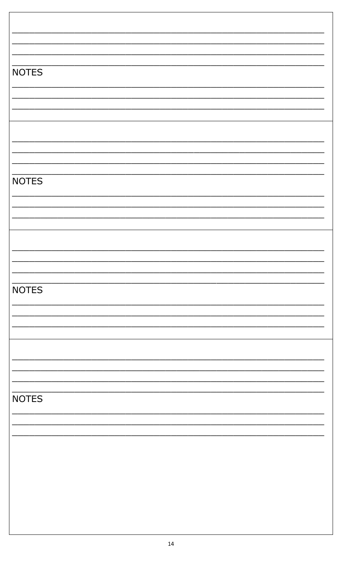| <b>NOTES</b> |  |
|--------------|--|
|              |  |
|              |  |
|              |  |
|              |  |
|              |  |
|              |  |
|              |  |
|              |  |
| <b>NOTES</b> |  |
|              |  |
|              |  |
|              |  |
|              |  |
|              |  |
|              |  |
|              |  |
|              |  |
| <b>NOTES</b> |  |
|              |  |
|              |  |
|              |  |
|              |  |
|              |  |
|              |  |
|              |  |
| <b>NOTES</b> |  |
|              |  |
|              |  |
|              |  |
|              |  |
|              |  |
|              |  |
|              |  |
|              |  |
|              |  |

⅂